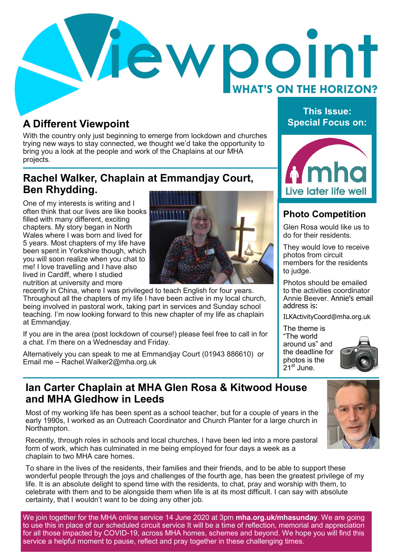

# **A Different Viewpoint Special Focus on:**

With the country only just beginning to emerge from lockdown and churches trying new ways to stay connected, we thought we'd take the opportunity to bring you a look at the people and work of the Chaplains at our MHA projects.

# **Rachel Walker, Chaplain at Emmandjay Court, Ben Rhydding.**

One of my interests is writing and I often think that our lives are like books filled with many different, exciting chapters. My story began in North Wales where I was born and lived for 5 years. Most chapters of my life have been spent in Yorkshire though, which you will soon realize when you chat to me! I love travelling and I have also lived in Cardiff, where I studied nutrition at university and more



recently in China, where I was privileged to teach English for four years. Throughout all the chapters of my life I have been active in my local church, being involved in pastoral work, taking part in services and Sunday school teaching. I'm now looking forward to this new chapter of my life as chaplain at Emmandjay.

If you are in the area (post lockdown of course!) please feel free to call in for a chat. I'm there on a Wednesday and Friday.

Alternatively you can speak to me at Emmandjay Court (01943 886610) or Email me – Rachel.Walker2@mha.org.uk

# **This Issue:**



## **Photo Competition**

Glen Rosa would like us to do for their residents.

They would love to receive photos from circuit members for the residents to judge.

Photos should be emailed to the activities coordinator Annie Beever. Annie's email address is:

ILKActivityCoord@mha.org.uk

The theme is "The world around us" and the deadline for photos is the  $21^{st}$  June.



## **Ian Carter Chaplain at MHA Glen Rosa & Kitwood House and MHA Gledhow in Leeds**

Most of my working life has been spent as a school teacher, but for a couple of years in the early 1990s, I worked as an Outreach Coordinator and Church Planter for a large church in Northampton.

Recently, through roles in schools and local churches, I have been led into a more pastoral form of work, which has culminated in me being employed for four days a week as a chaplain to two MHA care homes.

To share in the lives of the residents, their families and their friends, and to be able to support these wonderful people through the joys and challenges of the fourth age, has been the greatest privilege of my life. It is an absolute delight to spend time with the residents, to chat, pray and worship with them, to celebrate with them and to be alongside them when life is at its most difficult. I can say with absolute certainty, that I wouldn't want to be doing any other job.

We join together for the MHA online service 14 June 2020 at 3pm **mha.org.uk/mhasunday**. We are going to use this in place of our scheduled circuit service It will be a time of reflection, memorial and appreciation for all those impacted by COVID-19, across MHA homes, schemes and beyond. We hope you will find this service a helpful moment to pause, reflect and pray together in these challenging times.